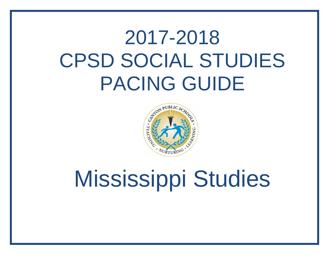## 2017-2018 CPSD SOCIAL STUDIES PACING GUIDE



# Mississippi Studies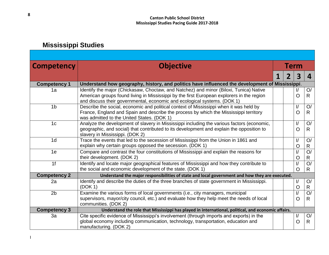## **Mississippi Studies**

| <b>Competency</b>   | <b>Objective</b>                                                                                                                                                                                                                                                | <b>Term</b> |  |                                 |                                |  |  |  |  |
|---------------------|-----------------------------------------------------------------------------------------------------------------------------------------------------------------------------------------------------------------------------------------------------------------|-------------|--|---------------------------------|--------------------------------|--|--|--|--|
|                     |                                                                                                                                                                                                                                                                 | 1           |  | $\overline{\mathbf{3}}$         | 4                              |  |  |  |  |
| <b>Competency 1</b> | Understand how geography, history, and politics have influenced the development of Mississippi.                                                                                                                                                                 |             |  |                                 |                                |  |  |  |  |
| 1a                  | Identify the major (Chickasaw, Choctaw, and Natchez) and minor (Biloxi, Tunica) Native<br>American groups found living in Mississippi by the first European explorers in the region<br>and discuss their governmental, economic and ecological systems. (DOK 1) |             |  | $\frac{1}{2}$<br>$\overline{O}$ | O/<br>$\mathsf{R}$             |  |  |  |  |
| 1 <sub>b</sub>      | Describe the social, economic and political context of Mississippi when it was held by<br>France, England and Spain and describe the process by which the Mississippi territory<br>was admitted to the United States. (DOK 1)                                   |             |  | $\sqrt{ }$<br>$\overline{O}$    | O/<br>$\mathsf{R}$             |  |  |  |  |
| 1 <sub>c</sub>      | Analyze the development of slavery in Mississippi including the various factors (economic,<br>geographic, and social) that contributed to its development and explain the opposition to<br>slavery in Mississippi. (DOK 2)                                      |             |  | $\sqrt{ }$<br>$\overline{O}$    | O/<br>$\mathsf{R}$             |  |  |  |  |
| 1 <sub>d</sub>      | Trace the events that led to the secession of Mississippi from the Union in 1861 and<br>explain why certain groups opposed the secession. (DOK 1)                                                                                                               |             |  | $\sqrt{ }$<br>$\overline{O}$    | O/<br>$\mathsf{R}$             |  |  |  |  |
| 1e                  | Compare and contrast the four constitutions of Mississippi and explain the reasons for<br>their development. (DOK 2)                                                                                                                                            |             |  | $\sqrt{ }$<br>$\overline{O}$    | O/<br>$\mathsf{R}$             |  |  |  |  |
| 1 <sub>f</sub>      | Identify and locate major geographical features of Mississippi and how they contribute to<br>the social and economic development of the state. (DOK 1)                                                                                                          |             |  | $\sqrt{ }$<br>$\overline{O}$    | O/<br>$\mathsf{R}$             |  |  |  |  |
| <b>Competency 2</b> | Understand the major responsibilities of state and local government and how they are executed.                                                                                                                                                                  |             |  |                                 |                                |  |  |  |  |
| 2a                  | Identify and describe the duties of the three branches of state government in Mississippi.<br>(DOK 1)                                                                                                                                                           |             |  | $\sqrt{ }$<br>$\overline{O}$    | O/<br>R                        |  |  |  |  |
| 2 <sub>b</sub>      | Examine the various forms of local governments (i.e., city managers, municipal<br>supervisors, mayor/city council, etc.) and evaluate how they help meet the needs of local<br>communities. (DOK 2)                                                             |             |  | $\frac{1}{2}$<br>$\overline{O}$ | $\overline{O}$<br>$\mathsf{R}$ |  |  |  |  |
| <b>Competency 3</b> | Understand the role that Mississippi has played in international, political, and economic affairs.                                                                                                                                                              |             |  |                                 |                                |  |  |  |  |
| 3a                  | Cite specific evidence of Mississippi's involvement (through imports and exports) in the<br>global economy including communication, technology, transportation, education and<br>manufacturing. (DOK 2)                                                         |             |  | $\sqrt{ }$<br>$\overline{O}$    | O/<br>$\mathsf{R}$             |  |  |  |  |

I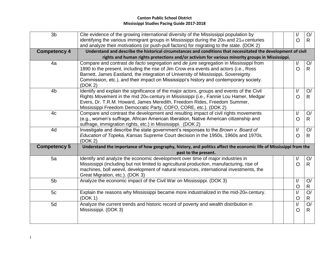### **Canton Public School District Mississippi Studies Pacing Guide 2017-2018**

| 3 <sub>b</sub>      | Cite evidence of the growing international diversity of the Mississippi population by                                                                              |  | I/             | O/             |
|---------------------|--------------------------------------------------------------------------------------------------------------------------------------------------------------------|--|----------------|----------------|
|                     | identifying the various immigrant groups in Mississippi during the 20th and 21st centuries                                                                         |  | $\circ$        | $\mathsf{R}$   |
|                     | and analyze their motivations (or push-pull factors) for migrating to the state. (DOK 2)                                                                           |  |                |                |
| <b>Competency 4</b> | Understand and describe the historical circumstances and conditions that necessitated the development of civil                                                     |  |                |                |
|                     | rights and human rights protections and/or activism for various minority groups in Mississippi.                                                                    |  |                |                |
| 4a                  | Compare and contrast de facto segregation and de jure segregation in Mississippi from                                                                              |  | $\sqrt{ }$     | O/             |
|                     | 1890 to the present, including the rise of Jim Crow era events and actors (i.e., Ross                                                                              |  | $\Omega$       | R.             |
|                     | Barnett, James Eastland, the integration of University of Mississippi, Sovereignty                                                                                 |  |                |                |
|                     | Commission, etc.), and their impact on Mississippi's history and contemporary society.                                                                             |  |                |                |
|                     | (DOK 2)                                                                                                                                                            |  |                |                |
| 4 <sub>b</sub>      | Identify and explain the significance of the major actors, groups and events of the Civil                                                                          |  | $\sqrt{ }$     | O/             |
|                     | Rights Movement in the mid 20th century in Mississippi (i.e., Fannie Lou Hamer, Medgar<br>Evers, Dr. T.R.M. Howard, James Meredith, Freedom Rides, Freedom Summer, |  | $\circ$        | R              |
|                     | Mississippi Freedom Democratic Party, COFO, CORE, etc.). (DOK 2)                                                                                                   |  |                |                |
| 4c                  | Compare and contrast the development and resulting impact of civil rights movements                                                                                |  | $\sqrt{ }$     | O/             |
|                     | (e.g., women's suffrage, African American liberation, Native American citizenship and                                                                              |  | $\overline{O}$ | R              |
|                     | suffrage, immigration rights, etc.) in Mississippi. (DOK 2)                                                                                                        |  |                |                |
| 4d                  | Investigate and describe the state government's responses to the Brown v. Board of                                                                                 |  | $\sqrt{ }$     | O/             |
|                     | Education of Topeka, Kansas Supreme Court decision in the 1950s, 1960s and 1970s.                                                                                  |  | $\overline{O}$ | R.             |
|                     | (DOK 2)                                                                                                                                                            |  |                |                |
| <b>Competency 5</b> | Understand the importance of how geography, history, and politics affect the economic life of Mississippi from the                                                 |  |                |                |
|                     | past to the present.                                                                                                                                               |  |                |                |
| 5a                  | Identify and analyze the economic development over time of major industries in                                                                                     |  | $\sqrt{ }$     | O/             |
|                     | Mississippi (including but not limited to agricultural production, manufacturing, rise of                                                                          |  | $\Omega$       | R.             |
|                     | machines, boll weevil, development of natural resources, international investments, the                                                                            |  |                |                |
|                     | Great Migration, etc.). (DOK 3)                                                                                                                                    |  |                |                |
| 5 <sub>b</sub>      | Analyze the economic impact of the Civil War on Mississippi. (DOK 3)                                                                                               |  | $\sqrt{ }$     | O/             |
|                     |                                                                                                                                                                    |  | $\circ$        | $\mathsf{R}$   |
| 5c                  | Explain the reasons why Mississippi became more industrialized in the mid-20th century.                                                                            |  | $\sqrt{ }$     | O/             |
|                     | (DOK 1)                                                                                                                                                            |  | $\circ$        | R.             |
| 5d                  | Analyze the current trends and historic record of poverty and wealth distribution in                                                                               |  | $\sf I/$       | $\overline{O}$ |
|                     | Mississippi. (DOK 3)                                                                                                                                               |  | $\overline{O}$ | R              |
|                     |                                                                                                                                                                    |  |                |                |
|                     |                                                                                                                                                                    |  |                |                |